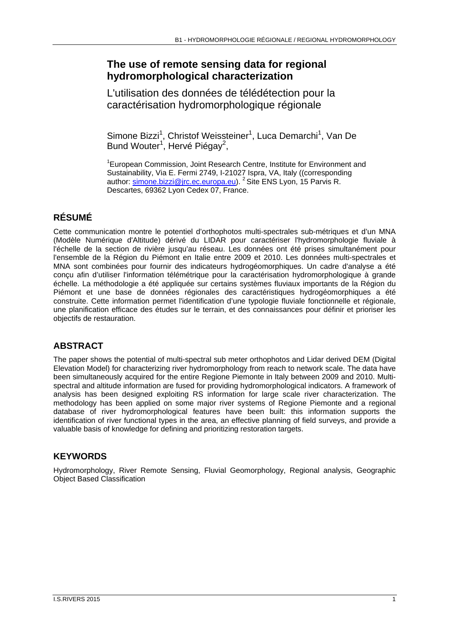### **The use of remote sensing data for regional hydromorphological characterization**

L'utilisation des données de télédétection pour la caractérisation hydromorphologique régionale

Simone Bizzi<sup>1</sup>, Christof Weissteiner<sup>1</sup>, Luca Demarchi<sup>1</sup>, Van De Bund Wouter<sup>1</sup>, Hervé Piégay<sup>2</sup>,

<sup>1</sup> European Commission, Joint Research Centre, Institute for Environment and Sustainability, Via E. Fermi 2749, I-21027 Ispra, VA, Italy ((corresponding author: **simone.bizzi@jrc.ec.europa.eu**). <sup>2</sup> Site ENS Lyon, 15 Parvis R. Descartes, 69362 Lyon Cedex 07, France.

# **RÉSUMÉ**

Cette communication montre le potentiel d'orthophotos multi-spectrales sub-métriques et d'un MNA (Modèle Numérique d'Altitude) dérivé du LIDAR pour caractériser l'hydromorphologie fluviale à l'échelle de la section de rivière jusqu'au réseau. Les données ont été prises simultanément pour l'ensemble de la Région du Piémont en Italie entre 2009 et 2010. Les données multi-spectrales et MNA sont combinées pour fournir des indicateurs hydrogéomorphiques. Un cadre d'analyse a été conçu afin d'utiliser l'information télémétrique pour la caractérisation hydromorphologique à grande échelle. La méthodologie a été appliquée sur certains systèmes fluviaux importants de la Région du Piémont et une base de données régionales des caractéristiques hydrogéomorphiques a été construite. Cette information permet l'identification d'une typologie fluviale fonctionnelle et régionale, une planification efficace des études sur le terrain, et des connaissances pour définir et prioriser les objectifs de restauration.

# **ABSTRACT**

The paper shows the potential of multi-spectral sub meter orthophotos and Lidar derived DEM (Digital Elevation Model) for characterizing river hydromorphology from reach to network scale. The data have been simultaneously acquired for the entire Regione Piemonte in Italy between 2009 and 2010. Multispectral and altitude information are fused for providing hydromorphological indicators. A framework of analysis has been designed exploiting RS information for large scale river characterization. The methodology has been applied on some major river systems of Regione Piemonte and a regional database of river hydromorphological features have been built: this information supports the identification of river functional types in the area, an effective planning of field surveys, and provide a valuable basis of knowledge for defining and prioritizing restoration targets.

### **KEYWORDS**

Hydromorphology, River Remote Sensing, Fluvial Geomorphology, Regional analysis, Geographic Object Based Classification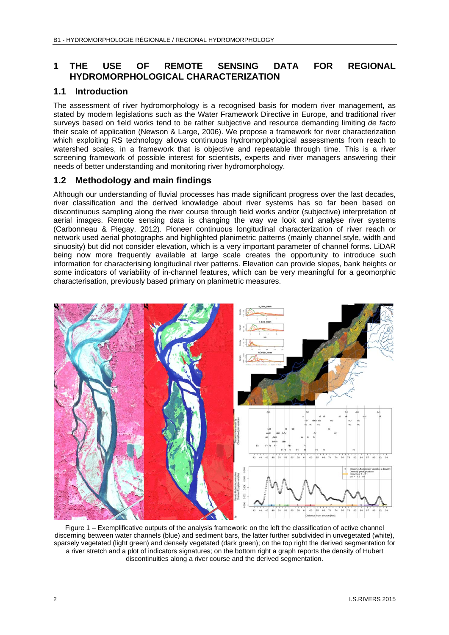#### **1 THE USE OF REMOTE SENSING DATA FOR REGIONAL HYDROMORPHOLOGICAL CHARACTERIZATION**

#### **1.1 Introduction**

The assessment of river hydromorphology is a recognised basis for modern river management, as stated by modern legislations such as the Water Framework Directive in Europe, and traditional river surveys based on field works tend to be rather subjective and resource demanding limiting *de facto* their scale of application (Newson & Large, 2006). We propose a framework for river characterization which exploiting RS technology allows continuous hydromorphological assessments from reach to watershed scales, in a framework that is objective and repeatable through time. This is a river screening framework of possible interest for scientists, experts and river managers answering their needs of better understanding and monitoring river hydromorphology.

#### **1.2 Methodology and main findings**

Although our understanding of fluvial processes has made significant progress over the last decades, river classification and the derived knowledge about river systems has so far been based on discontinuous sampling along the river course through field works and/or (subjective) interpretation of aerial images. Remote sensing data is changing the way we look and analyse river systems (Carbonneau & Piegay, 2012). Pioneer continuous longitudinal characterization of river reach or network used aerial photographs and highlighted planimetric patterns (mainly channel style, width and sinuosity) but did not consider elevation, which is a very important parameter of channel forms. LiDAR being now more frequently available at large scale creates the opportunity to introduce such information for characterising longitudinal river patterns. Elevation can provide slopes, bank heights or some indicators of variability of in-channel features, which can be very meaningful for a geomorphic characterisation, previously based primary on planimetric measures.



Figure 1 – Exemplificative outputs of the analysis framework: on the left the classification of active channel discerning between water channels (blue) and sediment bars, the latter further subdivided in unvegetated (white), sparsely vegetated (light green) and densely vegetated (dark green); on the top right the derived segmentation for a river stretch and a plot of indicators signatures; on the bottom right a graph reports the density of Hubert discontinuities along a river course and the derived segmentation.